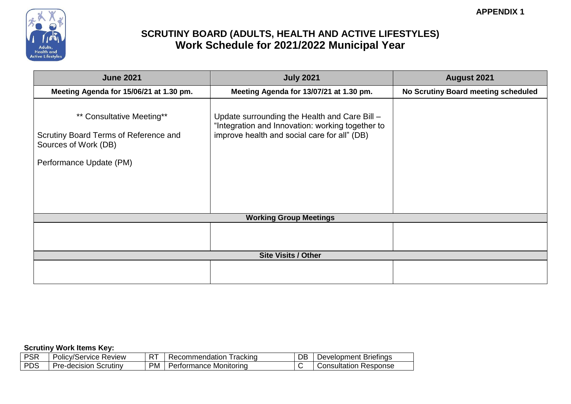

| <b>June 2021</b>                                                                                                      | <b>July 2021</b>                                                                                                                                  | <b>August 2021</b>                  |
|-----------------------------------------------------------------------------------------------------------------------|---------------------------------------------------------------------------------------------------------------------------------------------------|-------------------------------------|
| Meeting Agenda for 15/06/21 at 1.30 pm.                                                                               | Meeting Agenda for 13/07/21 at 1.30 pm.                                                                                                           | No Scrutiny Board meeting scheduled |
| ** Consultative Meeting**<br>Scrutiny Board Terms of Reference and<br>Sources of Work (DB)<br>Performance Update (PM) | Update surrounding the Health and Care Bill -<br>"Integration and Innovation: working together to<br>improve health and social care for all" (DB) |                                     |
|                                                                                                                       | <b>Working Group Meetings</b>                                                                                                                     |                                     |
|                                                                                                                       |                                                                                                                                                   |                                     |
|                                                                                                                       | <b>Site Visits / Other</b>                                                                                                                        |                                     |
|                                                                                                                       |                                                                                                                                                   |                                     |

| <b>DCD</b><br>OΚ | $D_{\Omega}$<br>$\sim$<br>. .<br>:v/Service<br>Review<br>olic | $\mathbf{r}$<br>к | racking<br>mmendation<br>. acor<br>зог | DB | Briefings<br>⊃evelopment |
|------------------|---------------------------------------------------------------|-------------------|----------------------------------------|----|--------------------------|
| DDC<br>DS        | Scrutiny<br>D۴<br>re-decision                                 | <b>PM</b>         | Monitorina<br>tormance                 |    | esponse?<br>Consultation |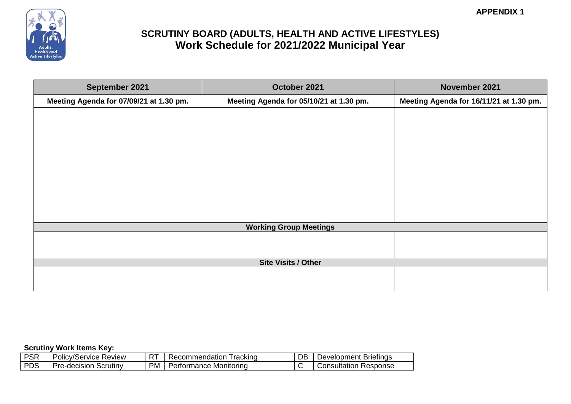

| September 2021                          | October 2021                            | November 2021                           |
|-----------------------------------------|-----------------------------------------|-----------------------------------------|
| Meeting Agenda for 07/09/21 at 1.30 pm. | Meeting Agenda for 05/10/21 at 1.30 pm. | Meeting Agenda for 16/11/21 at 1.30 pm. |
|                                         |                                         |                                         |
|                                         |                                         |                                         |
|                                         |                                         |                                         |
|                                         |                                         |                                         |
|                                         |                                         |                                         |
|                                         |                                         |                                         |
|                                         |                                         |                                         |
|                                         |                                         |                                         |
|                                         |                                         |                                         |
|                                         | <b>Working Group Meetings</b>           |                                         |
|                                         |                                         |                                         |
|                                         |                                         |                                         |
|                                         | <b>Site Visits / Other</b>              |                                         |
|                                         |                                         |                                         |
|                                         |                                         |                                         |

| <b>PSR</b> | <b>Review</b><br>/Service<br>ہر<br>olic'<br>'., | $\mathbf{r}$<br>ь | rackind<br>commendation<br>. ചറ~ | DB | <b>Briefings</b><br>Jevelopment |
|------------|-------------------------------------------------|-------------------|----------------------------------|----|---------------------------------|
| <b>PDS</b> | Scrutiny<br>Pre-decision                        | <b>PM</b>         | Monitorina<br>ormance            |    | <b>esponse</b><br>Consultation  |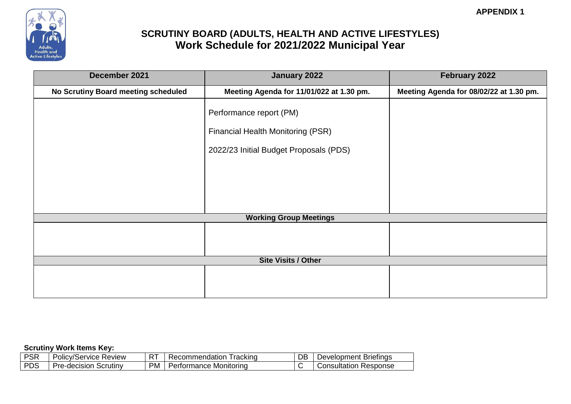

| December 2021                       | January 2022                                                                                                  | February 2022                           |
|-------------------------------------|---------------------------------------------------------------------------------------------------------------|-----------------------------------------|
| No Scrutiny Board meeting scheduled | Meeting Agenda for 11/01/022 at 1.30 pm.                                                                      | Meeting Agenda for 08/02/22 at 1.30 pm. |
|                                     | Performance report (PM)<br><b>Financial Health Monitoring (PSR)</b><br>2022/23 Initial Budget Proposals (PDS) |                                         |
|                                     | <b>Working Group Meetings</b>                                                                                 |                                         |
|                                     |                                                                                                               |                                         |
|                                     | <b>Site Visits / Other</b>                                                                                    |                                         |
|                                     |                                                                                                               |                                         |

| non<br>эĸ  | D <sub>0</sub><br>$\cdots$<br>∼<br>tv/Service<br>Review<br>olic | $-$<br>ь | racking<br>.:ommendation<br>ഛ | <u>r</u> | <b>Briefings</b><br>Development ' |
|------------|-----------------------------------------------------------------|----------|-------------------------------|----------|-----------------------------------|
| <b>PDS</b> | Scrutiny<br>مہرا<br>re-decision                                 | PM.      | Monitorina<br>*ormance_       |          | Consultation<br><b>Response</b>   |